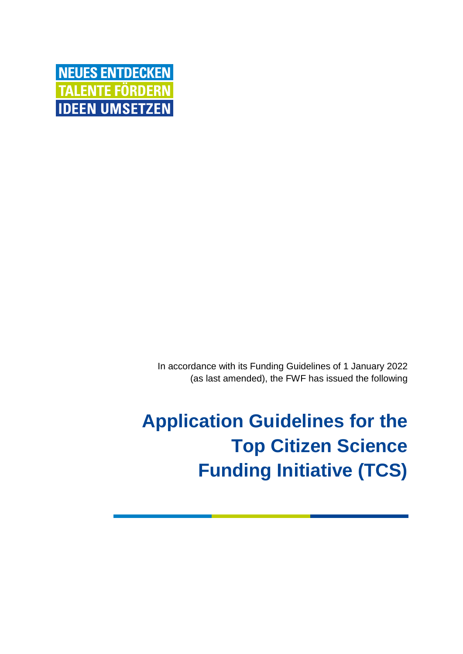

In accordance with its Funding Guidelines of 1 January 2022 (as last amended), the FWF has issued the following

**Application Guidelines for the Top Citizen Science Funding Initiative (TCS)**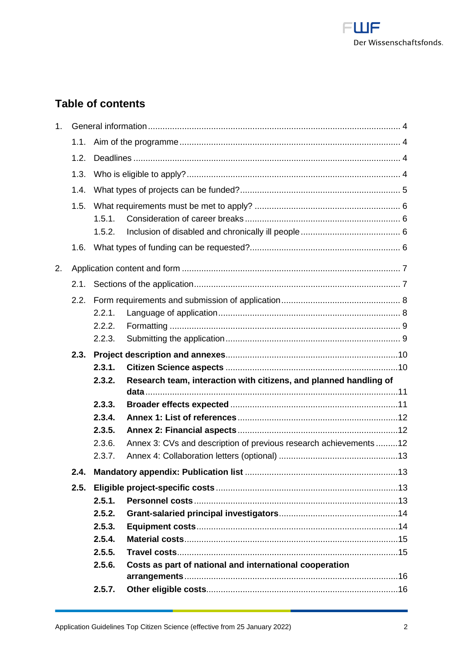

# **Table of contents**

| 1 <sub>1</sub> |      |        |                                                                   |  |  |  |  |
|----------------|------|--------|-------------------------------------------------------------------|--|--|--|--|
|                | 1.1. |        |                                                                   |  |  |  |  |
|                | 1.2. |        |                                                                   |  |  |  |  |
|                | 1.3. |        |                                                                   |  |  |  |  |
|                | 1.4. |        |                                                                   |  |  |  |  |
|                | 1.5. |        |                                                                   |  |  |  |  |
|                |      | 1.5.1. |                                                                   |  |  |  |  |
|                |      | 1.5.2. |                                                                   |  |  |  |  |
|                | 1.6. |        |                                                                   |  |  |  |  |
| 2.             |      |        |                                                                   |  |  |  |  |
|                | 2.1. |        |                                                                   |  |  |  |  |
|                | 2.2. |        |                                                                   |  |  |  |  |
|                |      | 2.2.1. |                                                                   |  |  |  |  |
|                |      | 2.2.2. |                                                                   |  |  |  |  |
|                |      | 2.2.3. |                                                                   |  |  |  |  |
|                | 2.3. |        |                                                                   |  |  |  |  |
|                |      | 2.3.1. |                                                                   |  |  |  |  |
|                |      | 2.3.2. | Research team, interaction with citizens, and planned handling of |  |  |  |  |
|                |      | 2.3.3. |                                                                   |  |  |  |  |
|                |      | 2.3.4. |                                                                   |  |  |  |  |
|                |      | 2.3.5. |                                                                   |  |  |  |  |
|                |      | 2.3.6. | Annex 3: CVs and description of previous research achievements12  |  |  |  |  |
|                |      | 2.3.7. |                                                                   |  |  |  |  |
|                | 2.4. |        |                                                                   |  |  |  |  |
|                | 2.5. |        |                                                                   |  |  |  |  |
|                |      | 2.5.1. |                                                                   |  |  |  |  |
|                |      | 2.5.2. |                                                                   |  |  |  |  |
|                |      | 2.5.3. |                                                                   |  |  |  |  |
|                |      | 2.5.4. |                                                                   |  |  |  |  |
|                |      | 2.5.5. |                                                                   |  |  |  |  |
|                |      | 2.5.6. | Costs as part of national and international cooperation           |  |  |  |  |
|                |      | 2.5.7. |                                                                   |  |  |  |  |
|                |      |        |                                                                   |  |  |  |  |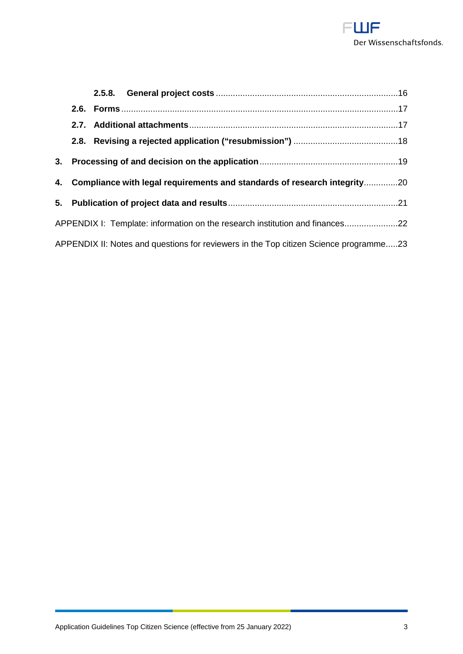

|                                                                              | 2.7.                                                                                  |  |                                                                             |  |  |  |  |  |
|------------------------------------------------------------------------------|---------------------------------------------------------------------------------------|--|-----------------------------------------------------------------------------|--|--|--|--|--|
|                                                                              |                                                                                       |  |                                                                             |  |  |  |  |  |
|                                                                              |                                                                                       |  |                                                                             |  |  |  |  |  |
|                                                                              |                                                                                       |  | 4. Compliance with legal requirements and standards of research integrity20 |  |  |  |  |  |
|                                                                              |                                                                                       |  |                                                                             |  |  |  |  |  |
| APPENDIX I: Template: information on the research institution and finances22 |                                                                                       |  |                                                                             |  |  |  |  |  |
|                                                                              | APPENDIX II: Notes and questions for reviewers in the Top citizen Science programme23 |  |                                                                             |  |  |  |  |  |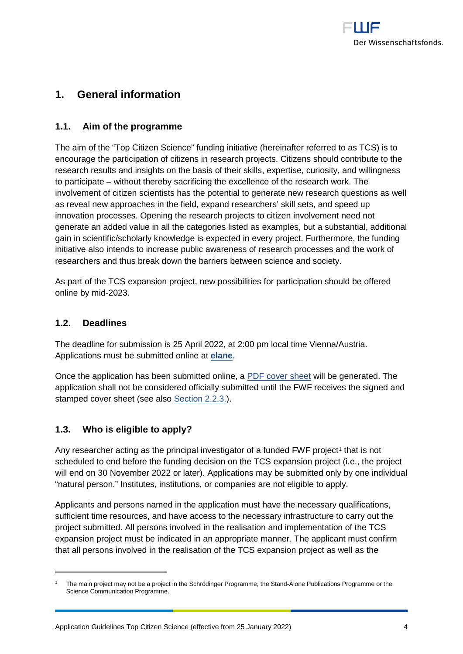

# <span id="page-3-0"></span>**1. General information**

## <span id="page-3-1"></span>**1.1. Aim of the programme**

The aim of the "Top Citizen Science" funding initiative (hereinafter referred to as TCS) is to encourage the participation of citizens in research projects. Citizens should contribute to the research results and insights on the basis of their skills, expertise, curiosity, and willingness to participate – without thereby sacrificing the excellence of the research work. The involvement of citizen scientists has the potential to generate new research questions as well as reveal new approaches in the field, expand researchers' skill sets, and speed up innovation processes. Opening the research projects to citizen involvement need not generate an added value in all the categories listed as examples, but a substantial, additional gain in scientific/scholarly knowledge is expected in every project. Furthermore, the funding initiative also intends to increase public awareness of research processes and the work of researchers and thus break down the barriers between science and society.

As part of the TCS expansion project, new possibilities for participation should be offered online by mid-2023.

## <span id="page-3-2"></span>**1.2. Deadlines**

-

The deadline for submission is 25 April 2022, at 2:00 pm local time Vienna/Austria. Applications must be submitted online at **[elane](https://elane.fwf.ac.at/)**.

Once the application has been submitted online, a [PDF cover sheet](https://www.fwf.ac.at/fileadmin/files/Dokumente/Antragstellung/glossary_application-guidelines.pdf) will be generated. The application shall not be considered officially submitted until the FWF receives the signed and stamped cover sheet (see also [Section 2.2.3.\)](#page-8-1).

## <span id="page-3-3"></span>**1.3. Who is eligible to apply?**

Any researcher acting as the principal investigator of a funded FWF project<sup>[1](#page-3-4)</sup> that is not scheduled to end before the funding decision on the TCS expansion project (i.e., the project will end on 30 November 2022 or later). Applications may be submitted only by one individual "natural person." Institutes, institutions, or companies are not eligible to apply.

Applicants and persons named in the application must have the necessary qualifications, sufficient time resources, and have access to the necessary infrastructure to carry out the project submitted. All persons involved in the realisation and implementation of the TCS expansion project must be indicated in an appropriate manner. The applicant must confirm that all persons involved in the realisation of the TCS expansion project as well as the

<span id="page-3-4"></span><sup>1</sup> The main project may not be a project in the Schrödinger Programme, the Stand-Alone Publications Programme or the Science Communication Programme.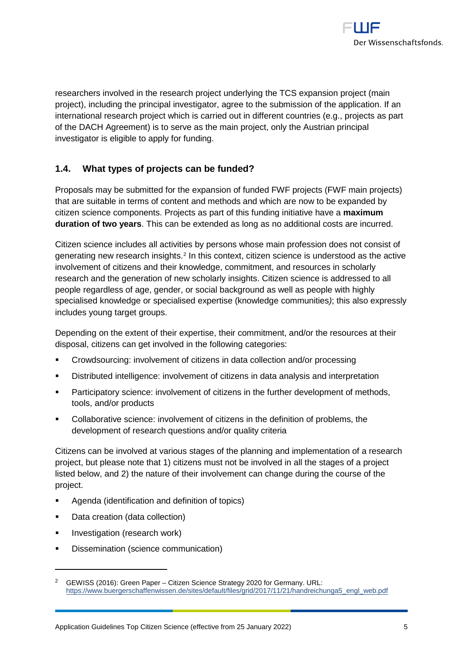

researchers involved in the research project underlying the TCS expansion project (main project), including the principal investigator, agree to the submission of the application. If an international research project which is carried out in different countries (e.g., projects as part of the DACH Agreement) is to serve as the main project, only the Austrian principal investigator is eligible to apply for funding.

## <span id="page-4-0"></span>**1.4. What types of projects can be funded?**

Proposals may be submitted for the expansion of funded FWF projects (FWF main projects) that are suitable in terms of content and methods and which are now to be expanded by citizen science components. Projects as part of this funding initiative have a **maximum duration of two years**. This can be extended as long as no additional costs are incurred.

Citizen science includes all activities by persons whose main profession does not consist of generating new research insights.[2](#page-4-1) In this context, citizen science is understood as the active involvement of citizens and their knowledge, commitment, and resources in scholarly research and the generation of new scholarly insights. Citizen science is addressed to all people regardless of age, gender, or social background as well as people with highly specialised knowledge or specialised expertise (knowledge communities*)*; this also expressly includes young target groups.

Depending on the extent of their expertise, their commitment, and/or the resources at their disposal, citizens can get involved in the following categories:

- Crowdsourcing: involvement of citizens in data collection and/or processing
- Distributed intelligence: involvement of citizens in data analysis and interpretation
- **Participatory science: involvement of citizens in the further development of methods,** tools, and/or products
- Collaborative science: involvement of citizens in the definition of problems, the development of research questions and/or quality criteria

Citizens can be involved at various stages of the planning and implementation of a research project, but please note that 1) citizens must not be involved in all the stages of a project listed below, and 2) the nature of their involvement can change during the course of the project.

- Agenda (identification and definition of topics)
- Data creation (data collection)
- **Investigation (research work)**

-

**Dissemination (science communication)** 

<span id="page-4-1"></span><sup>2</sup> GEWISS (2016): Green Paper – Citizen Science Strategy 2020 for Germany. URL: [https://www.buergerschaffenwissen.de/sites/default/files/grid/2017/11/21/handreichunga5\\_engl\\_web.pdf](https://www.buergerschaffenwissen.de/sites/default/files/grid/2017/11/21/handreichunga5_engl_web.pdf)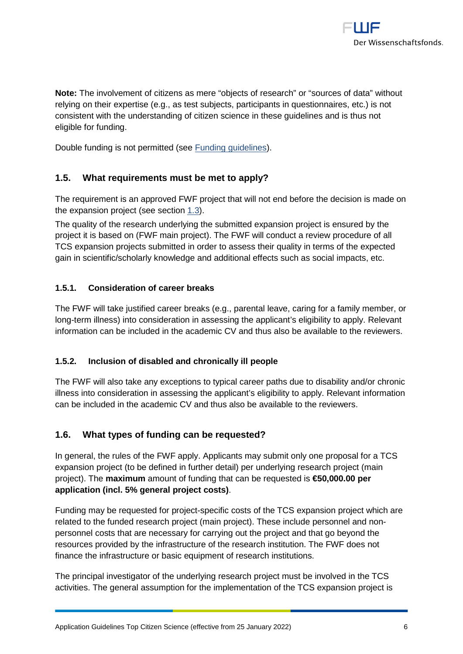**Note:** The involvement of citizens as mere "objects of research" or "sources of data" without relying on their expertise (e.g., as test subjects, participants in questionnaires, etc.) is not consistent with the understanding of citizen science in these guidelines and is thus not eligible for funding.

<span id="page-5-0"></span>Double funding is not permitted (see [Funding guidelines\)](https://www.fwf.ac.at/en/research-funding/decision-making-procedure-evaluation/funding-guidelines/).

## **1.5. What requirements must be met to apply?**

The requirement is an approved FWF project that will not end before the decision is made on the expansion project (see section 1.3).

The quality of the research underlying the submitted expansion project is ensured by the project it is based on (FWF main project). The FWF will conduct a review procedure of all TCS expansion projects submitted in order to assess their quality in terms of the expected gain in scientific/scholarly knowledge and additional effects such as social impacts, etc.

## <span id="page-5-1"></span>**1.5.1. Consideration of career breaks**

The FWF will take justified career breaks (e.g., parental leave, caring for a family member, or long-term illness) into consideration in assessing the applicant's eligibility to apply. Relevant information can be included in the academic CV and thus also be available to the reviewers.

### <span id="page-5-2"></span>**1.5.2. Inclusion of disabled and chronically ill people**

The FWF will also take any exceptions to typical career paths due to disability and/or chronic illness into consideration in assessing the applicant's eligibility to apply. Relevant information can be included in the academic CV and thus also be available to the reviewers.

## <span id="page-5-3"></span>**1.6. What types of funding can be requested?**

In general, the rules of the FWF apply. Applicants may submit only one proposal for a TCS expansion project (to be defined in further detail) per underlying research project (main project). The **maximum** amount of funding that can be requested is **€50,000.00 per application (incl. 5% general project costs)**.

Funding may be requested for project-specific costs of the TCS expansion project which are related to the funded research project (main project). These include personnel and nonpersonnel costs that are necessary for carrying out the project and that go beyond the resources provided by the infrastructure of the research institution. The FWF does not finance the infrastructure or basic equipment of research institutions.

The principal investigator of the underlying research project must be involved in the TCS activities. The general assumption for the implementation of the TCS expansion project is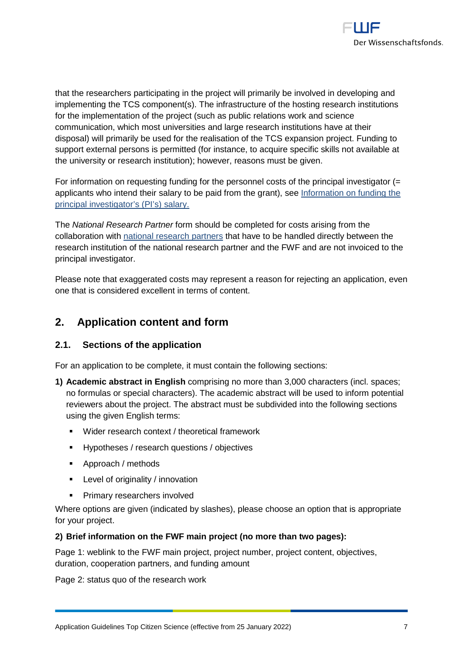

that the researchers participating in the project will primarily be involved in developing and implementing the TCS component(s). The infrastructure of the hosting research institutions for the implementation of the project (such as public relations work and science communication, which most universities and large research institutions have at their disposal) will primarily be used for the realisation of the TCS expansion project. Funding to support external persons is permitted (for instance, to acquire specific skills not available at the university or research institution); however, reasons must be given.

For information on requesting funding for the personnel costs of the principal investigator (= applicants who intend their salary to be paid from the grant), see [Information on funding the](https://www.fwf.ac.at/fileadmin/files/Dokumente/Antragstellung/information_grant-salaried-PI.pdf)  [principal investigator's \(PI's\) salary.](https://www.fwf.ac.at/fileadmin/files/Dokumente/Antragstellung/information_grant-salaried-PI.pdf)

The *National Research Partner* form should be completed for costs arising from the collaboration with [national research partners](https://www.fwf.ac.at/fileadmin/files/Dokumente/Antragstellung/glossary_application-guidelines.pdf) that have to be handled directly between the research institution of the national research partner and the FWF and are not invoiced to the principal investigator.

Please note that exaggerated costs may represent a reason for rejecting an application, even one that is considered excellent in terms of content.

## <span id="page-6-0"></span>**2. Application content and form**

## <span id="page-6-1"></span>**2.1. Sections of the application**

For an application to be complete, it must contain the following sections:

- **1) Academic abstract in English** comprising no more than 3,000 characters (incl. spaces; no formulas or special characters). The academic abstract will be used to inform potential reviewers about the project. The abstract must be subdivided into the following sections using the given English terms:
	- Wider research context / theoretical framework
	- **Hypotheses / research questions / objectives**
	- Approach / methods
	- **EXECTE:** Level of originality / innovation
	- **Primary researchers involved**

Where options are given (indicated by slashes), please choose an option that is appropriate for your project.

### **2) Brief information on the FWF main project (no more than two pages):**

Page 1: weblink to the FWF main project, project number, project content, objectives, duration, cooperation partners, and funding amount

Page 2: status quo of the research work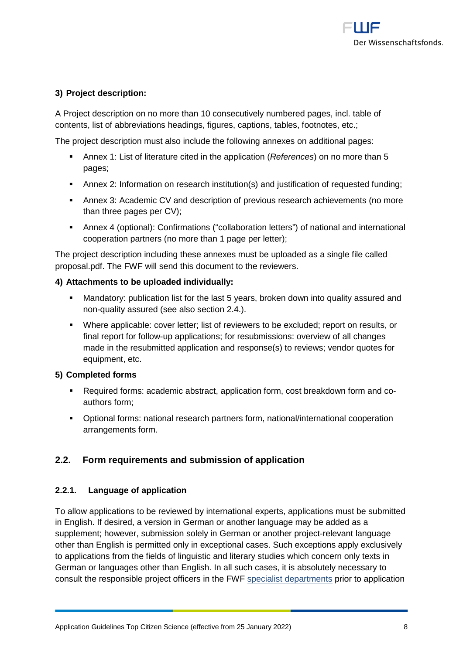

## **3) Project description:**

A Project description on no more than 10 consecutively numbered pages, incl. table of contents, list of abbreviations headings, figures, captions, tables, footnotes, etc.;

The project description must also include the following annexes on additional pages:

- Annex 1: List of literature cited in the application (*References*) on no more than 5 pages;
- Annex 2: Information on research institution(s) and justification of requested funding;
- Annex 3: Academic CV and description of previous research achievements (no more than three pages per CV);
- Annex 4 (optional): Confirmations ("collaboration letters") of national and international cooperation partners (no more than 1 page per letter);

The project description including these annexes must be uploaded as a single file called proposal.pdf. The FWF will send this document to the reviewers.

### **4) Attachments to be uploaded individually:**

- Mandatory: publication list for the last 5 years, broken down into quality assured and non-quality assured (see also section 2.4.).
- Where applicable: cover letter; list of reviewers to be excluded; report on results, or final report for follow-up applications; for resubmissions: overview of all changes made in the resubmitted application and response(s) to reviews; vendor quotes for equipment, etc.

### **5) Completed forms**

- Required forms: academic abstract, application form, cost breakdown form and coauthors form;
- Optional forms: national research partners form, national/international cooperation arrangements form.

## <span id="page-7-0"></span>**2.2. Form requirements and submission of application**

### <span id="page-7-1"></span>**2.2.1. Language of application**

To allow applications to be reviewed by international experts, applications must be submitted in English. If desired, a version in German or another language may be added as a supplement; however, submission solely in German or another project-relevant language other than English is permitted only in exceptional cases. Such exceptions apply exclusively to applications from the fields of linguistic and literary studies which concern only texts in German or languages other than English. In all such cases, it is absolutely necessary to consult the responsible project officers in the FWF [specialist departments](https://www.fwf.ac.at/en/about-the-fwf/organisation/fwf-team/specialist-departments/?tx_rsmemployee_pi1%5Bpage%5D=2&cHash=23a992f117e95a20e6391e14185672c6) prior to application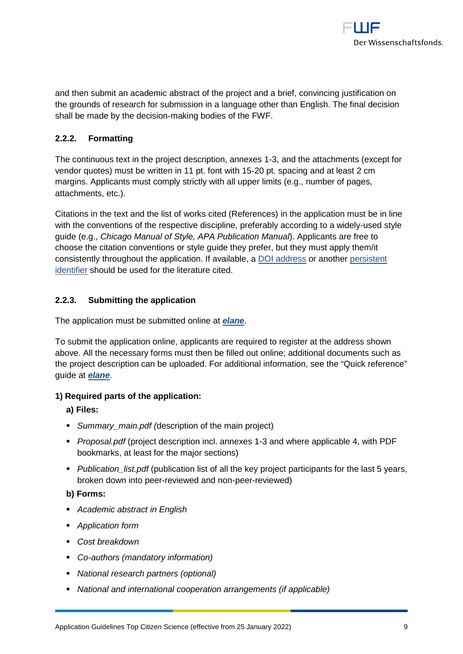

and then submit an academic abstract of the project and a brief, convincing justification on the grounds of research for submission in a language other than English. The final decision shall be made by the decision-making bodies of the FWF.

## <span id="page-8-0"></span>**2.2.2. Formatting**

The continuous text in the project description, annexes 1-3, and the attachments (except for vendor quotes) must be written in 11 pt. font with 15-20 pt. spacing and at least 2 cm margins. Applicants must comply strictly with all upper limits (e.g., number of pages, attachments, etc.).

Citations in the text and the list of works cited (References) in the application must be in line with the conventions of the respective discipline, preferably according to a widely-used style guide (e.g., *Chicago Manual of Style, APA Publication Manual*). Applicants are free to choose the citation conventions or style guide they prefer, but they must apply them/it consistently throughout the application. If available, a [DOI address](http://www.doi.org/) or another [persistent](https://sfdora.org/)  [identifier](https://sfdora.org/) should be used for the literature cited.

## <span id="page-8-1"></span>**2.2.3. Submitting the application**

The application must be submitted online at *[elane](https://elane.fwf.ac.at/)*.

To submit the application online, applicants are required to register at the address shown above. All the necessary forms must then be filled out online; additional documents such as the project description can be uploaded. For additional information, see the "Quick reference" guide at *[elane](https://elane.fwf.ac.at/)*.

### **1) Required parts of the application:**

**a) Files:**

- *Summary\_main.pdf (*description of the main project)
- *Proposal.pdf* (project description incl. annexes 1-3 and where applicable 4, with PDF bookmarks, at least for the major sections)
- *Publication\_list.pdf* (publication list of all the key project participants for the last 5 years, broken down into peer-reviewed and non-peer-reviewed)

**b) Forms:**

- *Academic abstract in English*
- *Application form*
- *Cost breakdown*
- *Co-authors (mandatory information)*
- *National research partners (optional)*
- *National and international cooperation arrangements (if applicable)*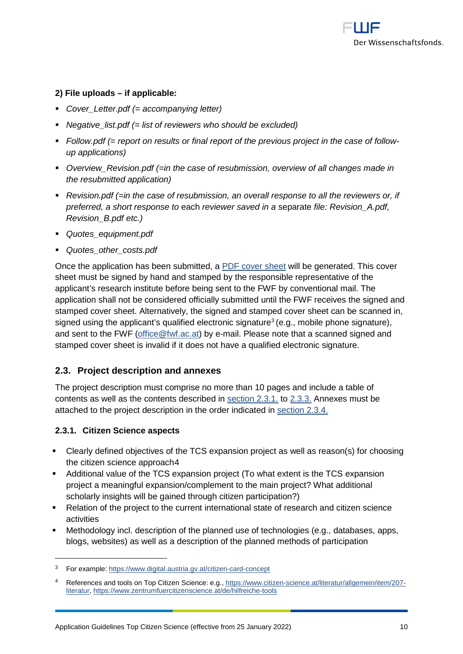

## **2) File uploads – if applicable:**

- *Cover\_Letter.pdf (= accompanying letter)*
- *Negative\_list.pdf (= list of reviewers who should be excluded)*
- *Follow.pdf (= report on results or final report of the previous project in the case of followup applications)*
- *Overview\_Revision.pdf (=in the case of resubmission, overview of all changes made in the resubmitted application)*
- *Revision.pdf (=in the case of resubmission, an overall response to all the reviewers or, if preferred, a short response to* each *reviewer saved in a* separate *file: Revision\_A.pdf, Revision\_B.pdf etc.)*
- *Quotes\_equipment.pdf*
- *Quotes\_other\_costs.pdf*

Once the application has been submitted, a [PDF cover sheet](https://www.fwf.ac.at/fileadmin/files/Dokumente/Antragstellung/glossary_application-guidelines.pdf) will be generated. This cover sheet must be signed by hand and stamped by the responsible representative of the applicant's research institute before being sent to the FWF by conventional mail. The application shall not be considered officially submitted until the FWF receives the signed and stamped cover sheet. Alternatively, the signed and stamped cover sheet can be scanned in, signed using the applicant's qualified electronic signature<sup>[3](#page-9-2)</sup> (e.g., mobile phone signature), and sent to the FWF [\(office@fwf.ac.at\)](mailto:office@fwf.ac.at) by e-mail. Please note that a scanned signed and stamped cover sheet is invalid if it does not have a qualified electronic signature.

## <span id="page-9-0"></span>**2.3. Project description and annexes**

The project description must comprise no more than 10 pages and include a table of contents as well as the contents described in [section 2.3.1.](#page-9-0) to [2.3.3.](#page-10-1) Annexes must be attached to the project description in the order indicated in [section 2.3.4.](#page-11-0)

### <span id="page-9-1"></span>**2.3.1. Citizen Science aspects**

-

- Clearly defined objectives of the TCS expansion project as well as reason(s) for choosing the citizen science approach[4](#page-9-3)
- Additional value of the TCS expansion project (To what extent is the TCS expansion project a meaningful expansion/complement to the main project? What additional scholarly insights will be gained through citizen participation?)
- Relation of the project to the current international state of research and citizen science activities
- Methodology incl. description of the planned use of technologies (e.g., databases, apps, blogs, websites) as well as a description of the planned methods of participation

<span id="page-9-2"></span><sup>3</sup> For example:<https://www.digital.austria.gv.at/citizen-card-concept>

<span id="page-9-3"></span><sup>4</sup> References and tools on Top Citizen Science: e.g., [https://www.citizen-science.at/literatur/allgemein/item/207](https://www.citizen-science.at/literatur/allgemein/item/207-literatur) [literatur,](https://www.citizen-science.at/literatur/allgemein/item/207-literatur)<https://www.zentrumfuercitizenscience.at/de/hilfreiche-tools>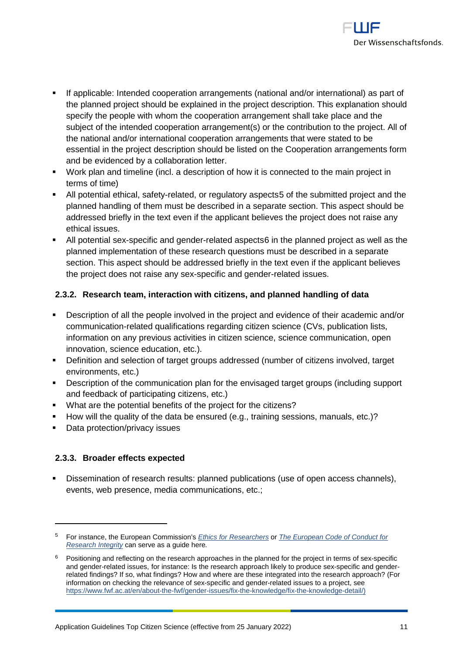

- If applicable: Intended [cooperation arrangements](https://www.fwf.ac.at/en/research-funding/decision-making-procedure/decision-making-procedure/) (national and/or international) as part of the planned project should be explained in the project description. This explanation should specify the people with whom the cooperation arrangement shall take place and the subject of the intended cooperation arrangement(s) or the contribution to the project. All of the national and/or international cooperation arrangements that were stated to be essential in the project description should be listed on the Cooperation arrangements form and be evidenced by a collaboration letter.
- Work plan and timeline (incl. a description of how it is connected to the main project in terms of time)
- All potential ethical, safety-related, or regulatory aspects[5](#page-10-2) of the submitted project and the planned handling of them must be described in a separate section. This aspect should be addressed briefly in the text even if the applicant believes the project does not raise any ethical issues.
- All potential sex-specific and gender-related aspects[6](#page-10-3) in the planned project as well as the planned implementation of these research questions must be described in a separate section. This aspect should be addressed briefly in the text even if the applicant believes the project does not raise any sex-specific and gender-related issues.

## <span id="page-10-0"></span>**2.3.2. Research team, interaction with citizens, and planned handling of data**

- Description of all the people involved in the project and evidence of their academic and/or communication-related qualifications regarding citizen science (CVs, publication lists, information on any previous activities in citizen science, science communication, open innovation, science education, etc.).
- Definition and selection of target groups addressed (number of citizens involved, target environments, etc.)
- Description of the communication plan for the envisaged target groups (including support and feedback of participating citizens, etc.)
- What are the potential benefits of the project for the citizens?
- How will the quality of the data be ensured (e.g., training sessions, manuals, etc.)?
- <span id="page-10-1"></span>• Data protection/privacy issues

## **2.3.3. Broader effects expected**

-

 Dissemination of research results: planned publications (use of open access channels), events, web presence, media communications, etc.;

<span id="page-10-2"></span><sup>5</sup> For instance, the European Commission's *[Ethics for Researchers](http://ec.europa.eu/research/participants/data/ref/fp7/89888/ethics-for-researchers_en.pdf)* or *[The European Code of Conduct for](https://ec.europa.eu/research/participants/data/ref/h2020/other/hi/h2020-ethics_code-of-conduct_en.pdf)  [Research Integrity](https://ec.europa.eu/research/participants/data/ref/h2020/other/hi/h2020-ethics_code-of-conduct_en.pdf)* can serve as a guide here*.*

<span id="page-10-3"></span> $6$  Positioning and reflecting on the research approaches in the planned for the project in terms of sex-specific and gender-related issues, for instance: Is the research approach likely to produce sex-specific and genderrelated findings? If so, what findings? How and where are these integrated into the research approach? (For information on checking the relevance of sex-specific and gender-related issues to a project, see [https://www.fwf.ac.at/en/about-the-fwf/gender-issues/fix-the-knowledge/fix-the-knowledge-detail/\)](https://www.fwf.ac.at/en/about-the-fwf/gender-issues/fix-the-knowledge/fix-the-knowledge-detail/)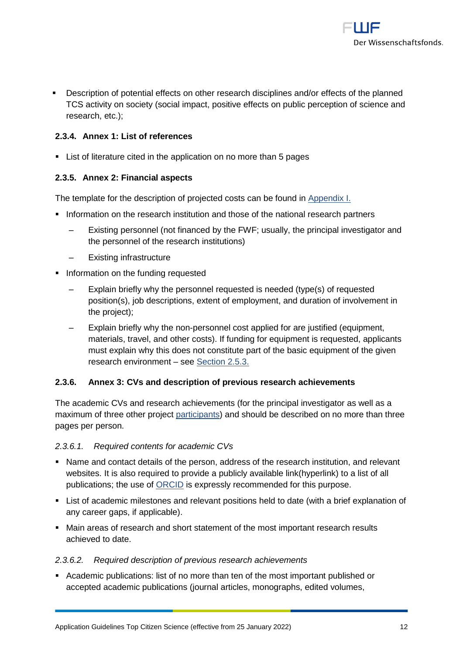

 Description of potential effects on other research disciplines and/or effects of the planned TCS activity on society (social impact, positive effects on public perception of science and research, etc.);

## <span id="page-11-0"></span>**2.3.4. Annex 1: List of references**

List of literature cited in the application on no more than 5 pages

## <span id="page-11-1"></span>**2.3.5. Annex 2: Financial aspects**

The template for the description of projected costs can be found in [Appendix I.](#page-21-0)

- **Information on the research institution and those of the national research partners** 
	- Existing personnel (not financed by the FWF; usually, the principal investigator and the personnel of the research institutions)
	- ‒ Existing infrastructure
- Information on the funding requested
	- ‒ Explain briefly why the personnel requested is needed (type(s) of requested position(s), job descriptions, extent of employment, and duration of involvement in the project);
	- ‒ Explain briefly why the non-personnel cost applied for are justified (equipment, materials, travel, and other costs). If funding for equipment is requested, applicants must explain why this does not constitute part of the basic equipment of the given research environment – see [Section 2.5.3.](#page-13-1)

### <span id="page-11-2"></span>**2.3.6. Annex 3: CVs and description of previous research achievements**

The academic CVs and research achievements (for the principal investigator as well as a maximum of three other project [participants\)](https://www.fwf.ac.at/fileadmin/files/Dokumente/Antragstellung/glossary_application-guidelines.pdf) and should be described on no more than three pages per person.

### *2.3.6.1. Required contents for academic CVs*

- Name and contact details of the person, address of the research institution, and relevant websites. It is also required to provide a publicly available link(hyperlink) to a list of all publications; the use of **ORCID** is expressly recommended for this purpose.
- List of academic milestones and relevant positions held to date (with a brief explanation of any career gaps, if applicable).
- Main areas of research and short statement of the most important research results achieved to date.

### *2.3.6.2. Required description of previous research achievements*

 Academic publications: list of no more than ten of the most important published or accepted academic publications (journal articles, monographs, edited volumes,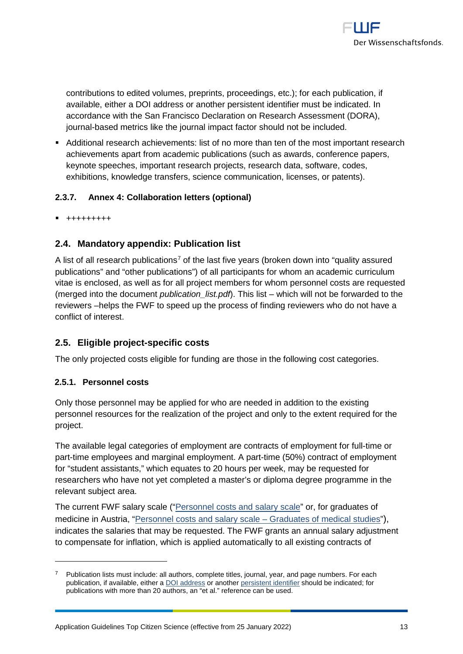

contributions to edited volumes, preprints, proceedings, etc.); for each publication, if available, either a [DOI address](http://www.doi.org/) or another [persistent identifier](http://en.wikipedia.org/wiki/Persistent_identifier) must be indicated. In accordance with the San Francisco Declaration on Research Assessment [\(DORA\)](https://sfdora.org/), journal-based metrics like the journal impact factor should not be included.

 Additional research achievements: list of no more than ten of the most important research achievements apart from academic publications (such as awards, conference papers, keynote speeches, important research projects, research data, software, codes, exhibitions, knowledge transfers, science communication, licenses, or patents).

## <span id="page-12-0"></span>**2.3.7. Annex 4: Collaboration letters (optional)**

<span id="page-12-1"></span>+++++++++

## **2.4. Mandatory appendix: Publication list**

A list of all research publications<sup>[7](#page-12-4)</sup> of the last five years (broken down into "quality assured publications" and "other publications") of all participants for whom an academic curriculum vitae is enclosed, as well as for all project members for whom personnel costs are requested (merged into the document *publication\_list.pdf*). This list – which will not be forwarded to the reviewers –helps the FWF to speed up the process of finding reviewers who do not have a conflict of interest.

## <span id="page-12-2"></span>**2.5. Eligible project-specific costs**

<span id="page-12-3"></span>The only projected costs eligible for funding are those in the following cost categories.

### **2.5.1. Personnel costs**

-

Only those personnel may be applied for who are needed in addition to the existing personnel resources for the realization of the project and only to the extent required for the project.

The available legal categories of employment are contracts of employment for full-time or part-time employees and marginal employment. A part-time (50%) contract of employment for "student assistants," which equates to 20 hours per week, may be requested for researchers who have not yet completed a master's or diploma degree programme in the relevant subject area.

The current FWF salary scale (["Personnel costs and salary scale"](https://www.fwf.ac.at/fileadmin/files/Dokumente/Antragstellung/glossary_application-guidelines.pdf) or, for graduates of medicine in Austria, ["Personnel costs and salary scale –](https://www.fwf.ac.at/fileadmin/files/Dokumente/Personalkostensaetze/personnel-costs-2018-medicine.pdf) Graduates of medical studies"), indicates the salaries that may be requested. The FWF grants an annual salary adjustment to compensate for inflation, which is applied automatically to all existing contracts of

<span id="page-12-4"></span>Publication lists must include: all authors, complete titles, journal, year, and page numbers. For each publication, if available, either a [DOI address](http://www.doi.org/) or anothe[r persistent identifier](http://en.wikipedia.org/wiki/Persistent_identifier) should be indicated; for publications with more than 20 authors, an "et al." reference can be used.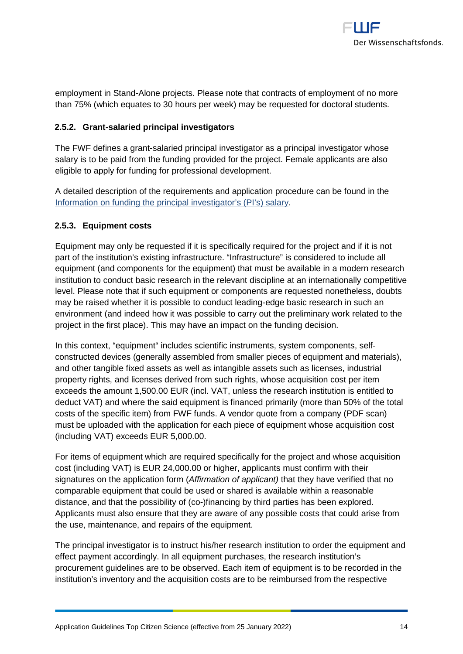

employment in Stand-Alone projects. Please note that contracts of employment of no more than 75% (which equates to 30 hours per week) may be requested for doctoral students.

## <span id="page-13-0"></span>**2.5.2. Grant-salaried principal investigators**

The FWF defines a grant-salaried principal investigator as a principal investigator whose salary is to be paid from the funding provided for the project. Female applicants are also eligible to apply for funding for professional development.

A detailed description of the requirements and application procedure can be found in the [Information on funding the principal investigator's \(PI's\) salary.](http://www.fwf.ac.at/fileadmin/files/Dokumente/Downloads/bgbl.pdf)

### <span id="page-13-1"></span>**2.5.3. Equipment costs**

Equipment may only be requested if it is specifically required for the project and if it is not part of the institution's existing infrastructure. "Infrastructure" is considered to include all equipment (and components for the equipment) that must be available in a modern research institution to conduct basic research in the relevant discipline at an internationally competitive level. Please note that if such equipment or components are requested nonetheless, doubts may be raised whether it is possible to conduct leading-edge basic research in such an environment (and indeed how it was possible to carry out the preliminary work related to the project in the first place). This may have an impact on the funding decision.

In this context, "equipment" includes scientific instruments, system components, selfconstructed devices (generally assembled from smaller pieces of equipment and materials), and other tangible fixed assets as well as intangible assets such as licenses, industrial property rights, and licenses derived from such rights, whose acquisition cost per item exceeds the amount 1,500.00 EUR (incl. VAT, unless the research institution is entitled to deduct VAT) and where the said equipment is financed primarily (more than 50% of the total costs of the specific item) from FWF funds. A vendor quote from a company (PDF scan) must be uploaded with the application for each piece of equipment whose acquisition cost (including VAT) exceeds EUR 5,000.00.

For items of equipment which are required specifically for the project and whose acquisition cost (including VAT) is EUR 24,000.00 or higher, applicants must confirm with their signatures on the application form (*Affirmation of applicant)* that they have verified that no comparable equipment that could be used or shared is available within a reasonable distance, and that the possibility of (co-)financing by third parties has been explored. Applicants must also ensure that they are aware of any possible costs that could arise from the use, maintenance, and repairs of the equipment.

The principal investigator is to instruct his/her research institution to order the equipment and effect payment accordingly. In all equipment purchases, the research institution's procurement guidelines are to be observed. Each item of equipment is to be recorded in the institution's inventory and the acquisition costs are to be reimbursed from the respective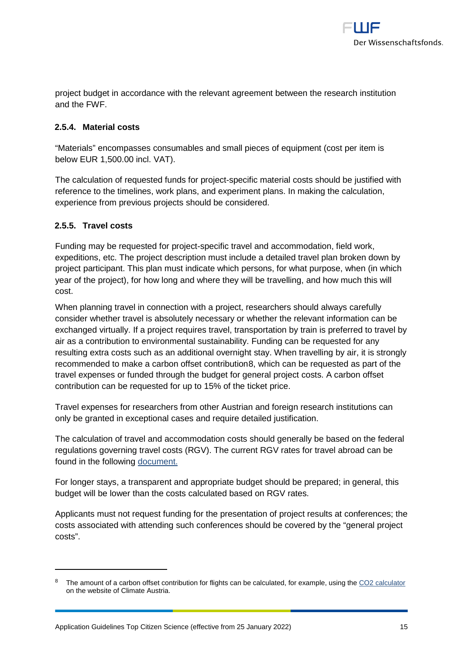

project budget in accordance with the relevant agreement between the research institution and the FWF.

## <span id="page-14-0"></span>**2.5.4. Material costs**

"Materials" encompasses consumables and small pieces of equipment (cost per item is below EUR 1,500.00 incl. VAT).

The calculation of requested funds for project-specific material costs should be justified with reference to the timelines, work plans, and experiment plans. In making the calculation, experience from previous projects should be considered.

### <span id="page-14-1"></span>**2.5.5. Travel costs**

-

Funding may be requested for project-specific travel and accommodation, field work, expeditions, etc. The project description must include a detailed travel plan broken down by project participant. This plan must indicate which persons, for what purpose, when (in which year of the project), for how long and where they will be travelling, and how much this will cost.

When planning travel in connection with a project, researchers should always carefully consider whether travel is absolutely necessary or whether the relevant information can be exchanged virtually. If a project requires travel, transportation by train is preferred to travel by air as a contribution to environmental sustainability. Funding can be requested for any resulting extra costs such as an additional overnight stay. When travelling by air, it is strongly recommended to make a carbon offset contribution[8,](#page-14-2) which can be requested as part of the travel expenses or funded through the budget for general project costs. A carbon offset contribution can be requested for up to 15% of the ticket price.

Travel expenses for researchers from other Austrian and foreign research institutions can only be granted in exceptional cases and require detailed justification.

The calculation of travel and accommodation costs should generally be based on the federal regulations governing travel costs (RGV). The current RGV rates for travel abroad can be found in the following [document.](https://www.fwf.ac.at/fileadmin/files/Dokumente/Antragstellung/glossary_application-guidelines.pdf)

For longer stays, a transparent and appropriate budget should be prepared; in general, this budget will be lower than the costs calculated based on RGV rates.

Applicants must not request funding for the presentation of project results at conferences; the costs associated with attending such conferences should be covered by the "general project costs".

<span id="page-14-2"></span>The amount of a carbon offset contribution for flights can be calculated, for example, using the [CO2 calculator](https://www.climateaustria.at/eng/co2offsetting.html) on the website of Climate Austria.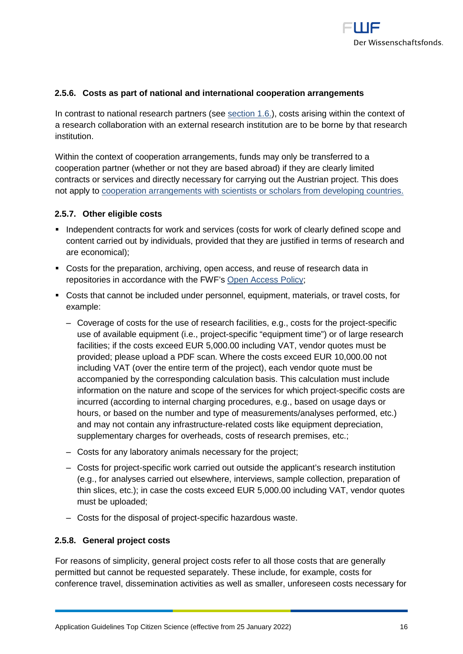

## <span id="page-15-0"></span>**2.5.6. Costs as part of national and international cooperation arrangements**

In contrast to national research partners (see section 1.6.), costs arising within the context of a research collaboration with an external research institution are to be borne by that research institution.

Within the context of cooperation arrangements, funds may only be transferred to a cooperation partner (whether or not they are based abroad) if they are clearly limited contracts or services and directly necessary for carrying out the Austrian project. This does not apply to [cooperation arrangements with scientists or scholars from developing countries.](https://www.fwf.ac.at/en/research-funding/fwf-programmes/international-programmes/developing-countries-projects/)

#### <span id="page-15-1"></span>**2.5.7. Other eligible costs**

- **Independent contracts for work and services (costs for work of clearly defined scope and** content carried out by individuals, provided that they are justified in terms of research and are economical);
- Costs for the preparation, archiving, open access, and reuse of research data in repositories in accordance with the FWF's [Open Access Policy;](https://www.fwf.ac.at/en/research-funding/open-access-policy/)
- Costs that cannot be included under personnel, equipment, materials, or travel costs, for example:
	- ‒ Coverage of costs for the use of research facilities, e.g., costs for the project-specific use of available equipment (i.e., project-specific "equipment time") or of large research facilities; if the costs exceed EUR 5,000.00 including VAT, vendor quotes must be provided; please upload a PDF scan. Where the costs exceed EUR 10,000.00 not including VAT (over the entire term of the project), each vendor quote must be accompanied by the corresponding calculation basis. This calculation must include information on the nature and scope of the services for which project-specific costs are incurred (according to internal charging procedures, e.g., based on usage days or hours, or based on the number and type of measurements/analyses performed, etc.) and may not contain any infrastructure-related costs like equipment depreciation, supplementary charges for overheads, costs of research premises, etc.;
	- ‒ Costs for any laboratory animals necessary for the project;
	- ‒ Costs for project-specific work carried out outside the applicant's research institution (e.g., for analyses carried out elsewhere, interviews, sample collection, preparation of thin slices, etc.); in case the costs exceed EUR 5,000.00 including VAT, vendor quotes must be uploaded;
	- ‒ Costs for the disposal of project-specific hazardous waste.

#### <span id="page-15-2"></span>**2.5.8. General project costs**

For reasons of simplicity, general project costs refer to all those costs that are generally permitted but cannot be requested separately. These include, for example, costs for conference travel, dissemination activities as well as smaller, unforeseen costs necessary for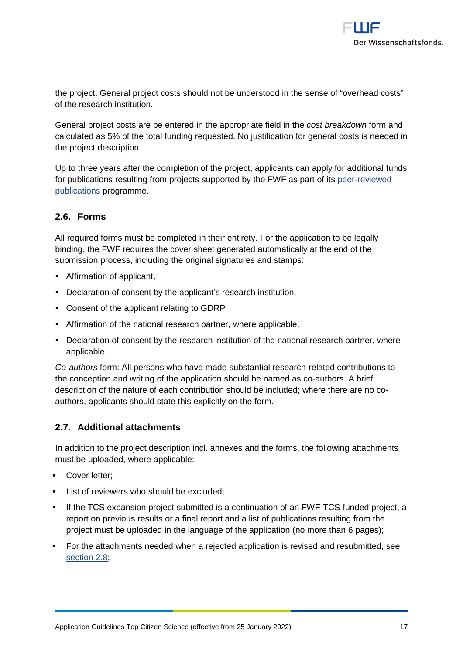the project. General project costs should not be understood in the sense of "overhead costs" of the research institution.

General project costs are be entered in the appropriate field in the *cost breakdown* form and calculated as 5% of the total funding requested. No justification for general costs is needed in the project description.

Up to three years after the completion of the project, applicants can apply for additional funds for publications resulting from projects supported by the FWF as part of its [peer-reviewed](https://www.fwf.ac.at/en/research-funding/fwf-programmes/peer-reviewed-publications/)  [publications](https://www.fwf.ac.at/en/research-funding/fwf-programmes/peer-reviewed-publications/) programme.

## <span id="page-16-0"></span>**2.6. Forms**

All required forms must be completed in their entirety. For the application to be legally binding, the FWF requires the cover sheet generated automatically at the end of the submission process, including the original signatures and stamps:

- Affirmation of applicant,
- Declaration of consent by the applicant's research institution,
- Consent of the applicant relating to GDRP
- Affirmation of the national research partner, where applicable,
- Declaration of consent by the research institution of the national research partner, where applicable.

*Co-authors* form: All persons who have made substantial research-related contributions to the conception and writing of the application should be named as co-authors. A brief description of the nature of each contribution should be included; where there are no coauthors, applicants should state this explicitly on the form.

## <span id="page-16-1"></span>**2.7. Additional attachments**

In addition to the project description incl. annexes and the forms, the following attachments must be uploaded, where applicable:

- Cover letter;
- List of reviewers who should be excluded;
- If the TCS expansion project submitted is a continuation of an FWF-TCS-funded project, a report on previous results or a final report and a list of publications resulting from the project must be uploaded in the language of the application (no more than 6 pages);
- For the attachments needed when a rejected application is revised and resubmitted, see [section 2.8;](#page-17-0)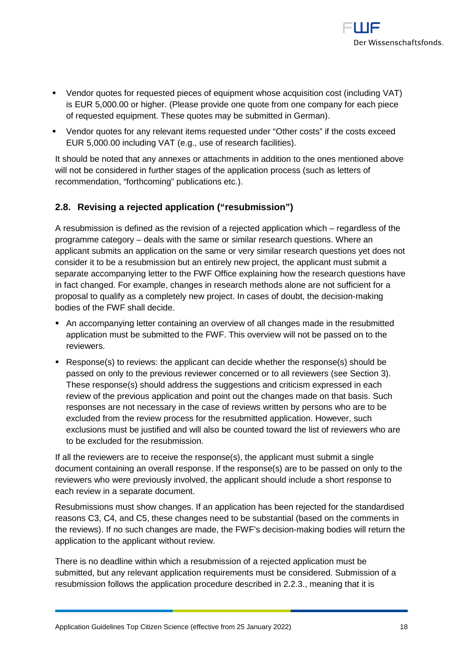

- Vendor quotes for requested pieces of equipment whose acquisition cost (including VAT) is EUR 5,000.00 or higher. (Please provide one quote from one company for each piece of requested equipment. These quotes may be submitted in German).
- Vendor quotes for any relevant items requested under "Other costs" if the costs exceed EUR 5,000.00 including VAT (e.g., use of research facilities).

It should be noted that any annexes or attachments in addition to the ones mentioned above will not be considered in further stages of the application process (such as letters of recommendation, "forthcoming" publications etc.).

## <span id="page-17-0"></span>**2.8. Revising a rejected application ("resubmission")**

A resubmission is defined as the revision of a rejected application which – regardless of the programme category – deals with the same or similar research questions. Where an applicant submits an application on the same or very similar research questions yet does not consider it to be a resubmission but an entirely new project, the applicant must submit a separate accompanying letter to the FWF Office explaining how the research questions have in fact changed. For example, changes in research methods alone are not sufficient for a proposal to qualify as a completely new project. In cases of doubt, the decision-making bodies of the FWF shall decide.

- An accompanying letter containing an overview of all changes made in the resubmitted application must be submitted to the FWF. This overview will not be passed on to the reviewers.
- Response(s) to reviews: the applicant can decide whether the response(s) should be passed on only to the previous reviewer concerned or to all reviewers (see Section 3). These response(s) should address the suggestions and criticism expressed in each review of the previous application and point out the changes made on that basis. Such responses are not necessary in the case of reviews written by persons who are to be excluded from the review process for the resubmitted application. However, such exclusions must be justified and will also be counted toward the list of reviewers who are to be excluded for the resubmission.

If all the reviewers are to receive the response(s), the applicant must submit a single document containing an overall response. If the response(s) are to be passed on only to the reviewers who were previously involved, the applicant should include a short response to each review in a separate document.

Resubmissions must show changes. If an application has been rejected for the standardised reasons C3, C4, and C5, these changes need to be substantial (based on the comments in the reviews). If no such changes are made, the FWF's decision-making bodies will return the application to the applicant without review.

There is no deadline within which a resubmission of a rejected application must be submitted, but any relevant application requirements must be considered. Submission of a resubmission follows the application procedure described in [2.2.3.,](#page-8-1) meaning that it is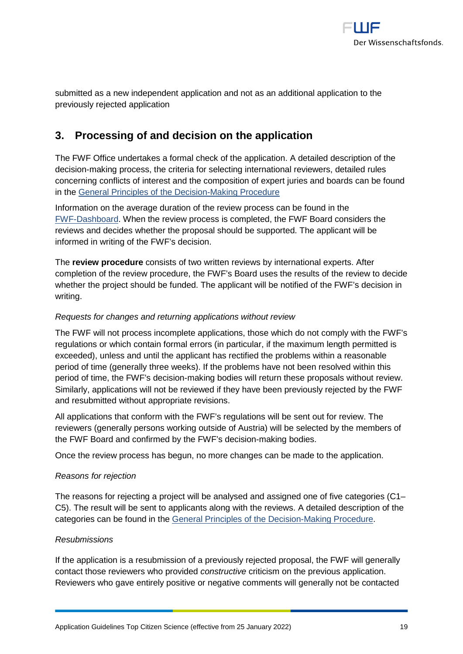

submitted as a new independent application and not as an additional application to the previously rejected application

## <span id="page-18-0"></span>**3. Processing of and decision on the application**

The FWF Office undertakes a formal check of the application. A detailed description of the decision-making process, the criteria for selecting international reviewers, detailed rules concerning conflicts of interest and the composition of expert juries and boards can be found in the [General Principles of the Decision-Making Procedure](https://www.fwf.ac.at/en/research-funding/decision-making-procedure-evaluation/decision-making-procedure/)

Information on the average duration of the review process can be found in the [FWF-Dashboard.](http://dashboard.fwf.ac.at/en/) When the review process is completed, the FWF Board considers the reviews and decides whether the proposal should be supported. The applicant will be informed in writing of the FWF's decision.

The **review procedure** consists of two written reviews by international experts. After completion of the review procedure, the FWF's Board uses the results of the review to decide whether the project should be funded. The applicant will be notified of the FWF's decision in writing.

## *Requests for changes and returning applications without review*

The FWF will not process incomplete applications, those which do not comply with the FWF's regulations or which contain formal errors (in particular, if the maximum length permitted is exceeded), unless and until the applicant has rectified the problems within a reasonable period of time (generally three weeks). If the problems have not been resolved within this period of time, the FWF's decision-making bodies will return these proposals without review. Similarly, applications will not be reviewed if they have been previously rejected by the FWF and resubmitted without appropriate revisions.

All applications that conform with the FWF's regulations will be sent out for review. The reviewers (generally persons working outside of Austria) will be selected by the members of the FWF Board and confirmed by the FWF's decision-making bodies.

Once the review process has begun, no more changes can be made to the application.

### *Reasons for rejection*

The reasons for rejecting a project will be analysed and assigned one of five categories (C1– C5). The result will be sent to applicants along with the reviews. A detailed description of the categories can be found in the [General Principles of the Decision-Making Procedure.](https://www.fwf.ac.at/en/research-funding/decision-making-procedure-evaluation/decision-making-procedure/)

### *Resubmissions*

If the application is a resubmission of a previously rejected proposal, the FWF will generally contact those reviewers who provided *constructive* criticism on the previous application. Reviewers who gave entirely positive or negative comments will generally not be contacted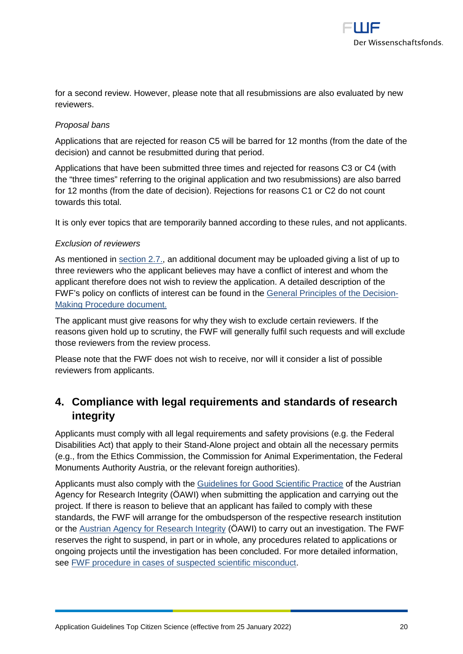

for a second review. However, please note that all resubmissions are also evaluated by new reviewers.

## *Proposal bans*

Applications that are rejected for reason C5 will be barred for 12 months (from the date of the decision) and cannot be resubmitted during that period.

Applications that have been submitted three times and rejected for reasons C3 or C4 (with the "three times" referring to the original application and two resubmissions) are also barred for 12 months (from the date of decision). Rejections for reasons C1 or C2 do not count towards this total.

It is only ever topics that are temporarily banned according to these rules, and not applicants.

### *Exclusion of reviewers*

As mentioned in [section 2.7.,](#page-16-1) an additional document may be uploaded giving a list of up to three reviewers who the applicant believes may have a conflict of interest and whom the applicant therefore does not wish to review the application. A detailed description of the FWF's policy on conflicts of interest can be found in the [General Principles of the Decision-](https://www.fwf.ac.at/en/research-funding/decision-making-procedure-evaluation/decision-making-procedure/)[Making Procedure](https://www.fwf.ac.at/en/research-funding/decision-making-procedure-evaluation/decision-making-procedure/) document.

The applicant must give reasons for why they wish to exclude certain reviewers. If the reasons given hold up to scrutiny, the FWF will generally fulfil such requests and will exclude those reviewers from the review process.

Please note that the FWF does not wish to receive, nor will it consider a list of possible reviewers from applicants.

# <span id="page-19-0"></span>**4. Compliance with legal requirements and standards of research integrity**

Applicants must comply with all legal requirements and safety provisions (e.g. the Federal Disabilities Act) that apply to their Stand-Alone project and obtain all the necessary permits (e.g., from the Ethics Commission, the Commission for Animal Experimentation, the Federal Monuments Authority Austria, or the relevant foreign authorities).

Applicants must also comply with the [Guidelines for Good Scientific Practice](https://oeawi.at/en/guidelines/) of the Austrian Agency for Research Integrity (ÖAWI) when submitting the application and carrying out the project. If there is reason to believe that an applicant has failed to comply with these standards, the FWF will arrange for the ombudsperson of the respective research institution or the [Austrian Agency for Research Integrity](https://oeawi.at/en/) (ÖAWI) to carry out an investigation. The FWF reserves the right to suspend, in part or in whole, any procedures related to applications or ongoing projects until the investigation has been concluded. For more detailed information, see [FWF procedure in cases of suspected scientific misconduct.](https://www.fwf.ac.at/fileadmin/files/Dokumente/Research_Integrity_Ethics/FWF_Verfahren_Research_Misconduct-en.pdf)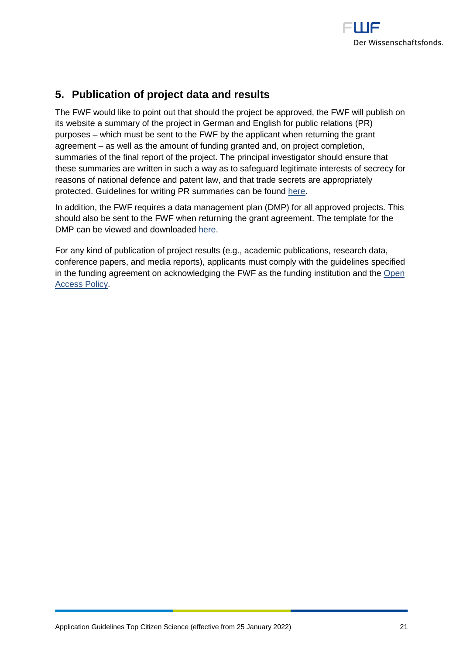

# <span id="page-20-0"></span>**5. Publication of project data and results**

The FWF would like to point out that should the project be approved, the FWF will publish on its website a summary of the project in German and English for public relations (PR) purposes – which must be sent to the FWF by the applicant when returning the grant agreement – as well as the amount of funding granted and, on project completion, summaries of the final report of the project. The principal investigator should ensure that these summaries are written in such a way as to safeguard legitimate interests of secrecy for reasons of national defence and patent law, and that trade secrets are appropriately protected. Guidelines for writing PR summaries can be found [here.](https://www.fwf.ac.at/fileadmin/files/Dokumente/Antragstellung/vorgaben_pr-kurzfassungen.pdf)

In addition, the FWF requires a data management plan (DMP) for all approved projects. This should also be sent to the FWF when returning the grant agreement. The template for the DMP can be viewed and downloaded [here.](https://www.fwf.ac.at/en/research-funding/open-access-policy/research-data-management/)

For any kind of publication of project results (e.g., academic publications, research data, conference papers, and media reports), applicants must comply with the guidelines specified in the funding agreement on acknowledging the FWF as the funding institution and the [Open](https://www.fwf.ac.at/en/research-funding/open-access-policy/)  [Access Policy.](https://www.fwf.ac.at/en/research-funding/open-access-policy/)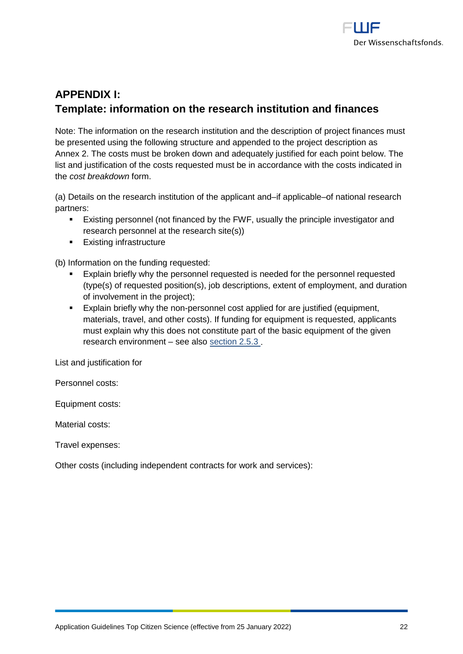

# <span id="page-21-0"></span>**APPENDIX I: Template: information on the research institution and finances**

Note: The information on the research institution and the description of project finances must be presented using the following structure and appended to the project description as Annex 2. The costs must be broken down and adequately justified for each point below. The list and justification of the costs requested must be in accordance with the costs indicated in the *cost breakdown* form.

(a) Details on the research institution of the applicant and–if applicable–of national research partners:

- Existing personnel (not financed by the FWF, usually the principle investigator and research personnel at the research site(s))
- **Existing infrastructure**

(b) Information on the funding requested:

- Explain briefly why the personnel requested is needed for the personnel requested (type(s) of requested position(s), job descriptions, extent of employment, and duration of involvement in the project);
- Explain briefly why the non-personnel cost applied for are justified (equipment, materials, travel, and other costs). If funding for equipment is requested, applicants must explain why this does not constitute part of the basic equipment of the given research environment – see also [section 2.5.3](#page-13-1) .

List and justification for

Personnel costs:

Equipment costs:

Material costs:

Travel expenses:

Other costs (including independent contracts for work and services):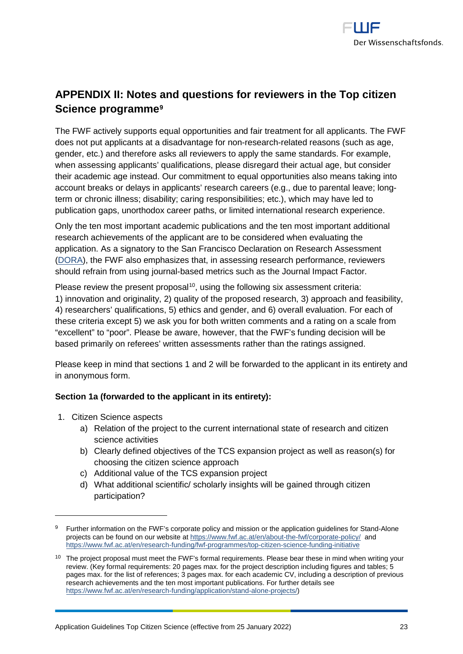

# <span id="page-22-0"></span>**APPENDIX II: Notes and questions for reviewers in the Top citizen Science programme[9](#page-22-1)**

The FWF actively supports equal opportunities and fair treatment for all applicants. The FWF does not put applicants at a disadvantage for non-research-related reasons (such as age, gender, etc.) and therefore asks all reviewers to apply the same standards. For example, when assessing applicants' qualifications, please disregard their actual age, but consider their academic age instead. Our commitment to equal opportunities also means taking into account breaks or delays in applicants' research careers (e.g., due to parental leave; longterm or chronic illness; disability; caring responsibilities; etc.), which may have led to publication gaps, unorthodox career paths, or limited international research experience.

Only the ten most important academic publications and the ten most important additional research achievements of the applicant are to be considered when evaluating the application. As a signatory to the San Francisco Declaration on Research Assessment [\(DORA\)](https://sfdora.org/read/), the FWF also emphasizes that, in assessing research performance, reviewers should refrain from using journal-based metrics such as the Journal Impact Factor.

Please review the present proposal<sup>10</sup>, using the following six assessment criteria: 1) innovation and originality, 2) quality of the proposed research, 3) approach and feasibility, 4) researchers' qualifications, 5) ethics and gender, and 6) overall evaluation. For each of these criteria except 5) we ask you for both written comments and a rating on a scale from "excellent" to "poor". Please be aware, however, that the FWF's funding decision will be based primarily on referees' written assessments rather than the ratings assigned.

Please keep in mind that sections 1 and 2 will be forwarded to the applicant in its entirety and in anonymous form.

### **Section 1a (forwarded to the applicant in its entirety):**

1. Citizen Science aspects

-

- a) Relation of the project to the current international state of research and citizen science activities
- b) Clearly defined objectives of the TCS expansion project as well as reason(s) for choosing the citizen science approach
- c) Additional value of the TCS expansion project
- d) What additional scientific/ scholarly insights will be gained through citizen participation?

<span id="page-22-1"></span><sup>&</sup>lt;sup>9</sup> Further information on the FWF's corporate policy and mission or the application guidelines for Stand-Alone projects can be found on our website a[t https://www.fwf.ac.at/en/about-the-fwf/corporate-policy/](https://www.fwf.ac.at/en/about-the-fwf/corporate-policy/) and <https://www.fwf.ac.at/en/research-funding/fwf-programmes/top-citizen-science-funding-initiative>

<span id="page-22-2"></span><sup>&</sup>lt;sup>10</sup> The project proposal must meet the FWF's formal requirements. Please bear these in mind when writing your review. (Key formal requirements: 20 pages max. for the project description including figures and tables; 5 pages max. for the list of references; 3 pages max. for each academic CV, including a description of previous research achievements and the ten most important publications. For further details see [https://www.fwf.ac.at/en/research-funding/application/stand-alone-projects/\)](https://www.fwf.ac.at/en/research-funding/application/stand-alone-projects/)